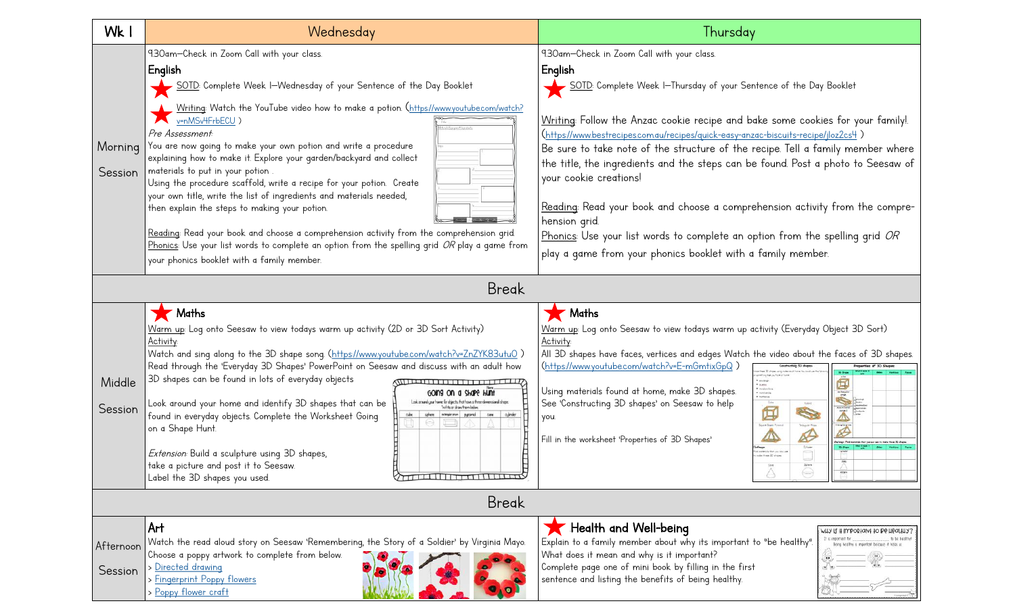| Wk I                 | Wednesday                                                                                                                                                                                                                                                                                                                                                                                                                                                                                                                                                                                                                                                                                                                                                                                                                                                                                                     | Thursday                                                                                                                                                                                                                                                                                                                                                                                                                                                                                                                                                                                                                                                                                                                                                       |
|----------------------|---------------------------------------------------------------------------------------------------------------------------------------------------------------------------------------------------------------------------------------------------------------------------------------------------------------------------------------------------------------------------------------------------------------------------------------------------------------------------------------------------------------------------------------------------------------------------------------------------------------------------------------------------------------------------------------------------------------------------------------------------------------------------------------------------------------------------------------------------------------------------------------------------------------|----------------------------------------------------------------------------------------------------------------------------------------------------------------------------------------------------------------------------------------------------------------------------------------------------------------------------------------------------------------------------------------------------------------------------------------------------------------------------------------------------------------------------------------------------------------------------------------------------------------------------------------------------------------------------------------------------------------------------------------------------------------|
| Morning<br>Session   | 9.30am-Check in Zoom Call with your class.<br>English<br>SOTD: Complete Week I-Wednesday of your Sentence of the Day Booklet<br>Writing: Watch the YouTube video how to make a potion. (https://www.youtube.com/watch?<br>v=nMSv4FrbECU)<br>shi Spopwell lupostori<br>Pre Assessment<br>You are now going to make your own potion and write a procedure<br>explaining how to make it. Explore your garden/backyard and collect<br>materials to put in your potion.<br>Using the procedure scaffold, write a recipe for your potion. Create<br>your own title, write the list of ingredients and materials needed,<br>then explain the steps to making your potion.<br>Reading: Read your book and choose a comprehension activity from the comprehension grid.<br>Phonics: Use your list words to complete an option from the spelling grid OR play a game from<br>your phonics booklet with a family member. | 9.30am-Check in Zoom Call with your class.<br>English<br>- <u>SOTD</u> : Complete Week I—Thursday of your Sentence of the Day Booklet<br>Writing: Follow the Anzac cookie recipe and bake some cookies for your family!<br>(https://www.bestrecipes.com.au/recipes/quick-easy-anzac-biscuits-recipe/jloz2cs4)<br>Be sure to take note of the structure of the recipe. Tell a family member where<br>the title, the ingredients and the steps can be found. Post a photo to Seesaw of<br>your cookie creations!<br>Reading: Read your book and choose a comprehension activity from the compre-<br>hension grid.<br>Phonics: Use your list words to complete an option from the spelling grid OR<br>play a game from your phonics booklet with a family member. |
| <b>Break</b>         |                                                                                                                                                                                                                                                                                                                                                                                                                                                                                                                                                                                                                                                                                                                                                                                                                                                                                                               |                                                                                                                                                                                                                                                                                                                                                                                                                                                                                                                                                                                                                                                                                                                                                                |
| Middle<br>Session    | Maths<br>Warm up: Log onto Seesaw to view todays warm up activity (2D or 3D Sort Activity)<br><b>Activity:</b><br>Watch and sing along to the 3D shape song. (https://www.youtube.com/watch?v=ZnZYK83utuO)<br>Read through the 'Everyday 3D Shapes' PowerPoint on Seesaw and discuss with an adult how<br>3D shapes can be found in lots of everyday objects<br><b><i>MILLELLI LI LI LI LI LI LI LIVIA</i></b><br>GOING ON a SHOPE HUNT<br>Look around your home for objects that have a three-dimensional shape.<br>Look around your home and identify 3D shapes that can be<br>Write or draw frem below<br>care ajinder<br>found in everyday objects. Complete the Worksheet Going<br>nonpiranan pyramid<br>on a Shape Hunt.<br>Extension: Build a sculpture using 3D shapes,<br>take a picture and post it to Seesaw.<br>$\Diamond$<br>Label the 3D shapes you used.                                       | Maths<br>Warm up: Log onto Seesaw to view todays warm up activity (Everyday Object 3D Sort)<br>Activity:<br>All 3D shapes have faces, vertices and edges Watch the video about the faces of 3D shapes.<br>(https://www.youtube.com/watch?v=E-mGmtixGpQ)<br>$\sim$ 250552<br>$\sim$ manifestimes $\sim$ matricular<br>Using materials found at home, make 3D shapes.<br>sioning.<br>See 'Constructing 3D shapes' on Seesaw to help<br>每<br>S<br>you.<br>Square Board Pyram<br><b>Inaugular Priz</b><br>Ø<br>⚠<br>Fill in the worksheet 'Properties of 3D Shapes'<br>$\overline{\mathcal{C}^{\text{free}}}$<br>a metericle than you bey<br>visit these 20 share<br>اددا<br>Sphere<br><b>Corp.</b><br>A                                                           |
| Break                |                                                                                                                                                                                                                                                                                                                                                                                                                                                                                                                                                                                                                                                                                                                                                                                                                                                                                                               |                                                                                                                                                                                                                                                                                                                                                                                                                                                                                                                                                                                                                                                                                                                                                                |
| Afternoon<br>Session | Art<br>Watch the read aloud story on Seesaw 'Remembering, the Story of a Soldier' by Virginia Mayo.<br>Choose a poppy artwork to complete from below.<br>> Directed drawing<br>> Fingerprint Poppy flowers<br>> Poppy flower craft                                                                                                                                                                                                                                                                                                                                                                                                                                                                                                                                                                                                                                                                            | Health and Well-being<br>MTA IL II ILUboliani to B6 H6aritàs<br>Explain to a family member about why its important to "be healthy".<br>Being healthy is important because it helps us.<br>What does it mean and why is it important?<br>Complete page one of mini book by filling in the first<br>sentence and listing the benefits of being healthy.                                                                                                                                                                                                                                                                                                                                                                                                          |